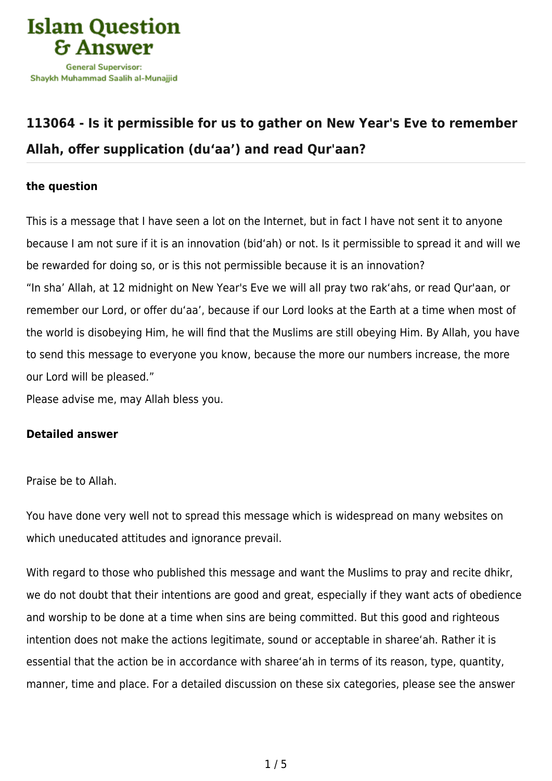

## **[113064 - Is it permissible for us to gather on New Year's Eve to remember](https://islamqa.info/en/answers/113064/is-it-permissible-for-us-to-gather-on-new-years-eve-to-remember-allah-offer-supplication-duaa-and-read-quraan) [Allah, offer supplication \(du'aa'\) and read Qur'aan?](https://islamqa.info/en/answers/113064/is-it-permissible-for-us-to-gather-on-new-years-eve-to-remember-allah-offer-supplication-duaa-and-read-quraan)**

## **the question**

This is a message that I have seen a lot on the Internet, but in fact I have not sent it to anyone because I am not sure if it is an innovation (bid'ah) or not. Is it permissible to spread it and will we be rewarded for doing so, or is this not permissible because it is an innovation? "In sha' Allah, at 12 midnight on New Year's Eve we will all pray two rak'ahs, or read Qur'aan, or remember our Lord, or offer du'aa', because if our Lord looks at the Earth at a time when most of the world is disobeying Him, he will find that the Muslims are still obeying Him. By Allah, you have to send this message to everyone you know, because the more our numbers increase, the more our Lord will be pleased."

Please advise me, may Allah bless you.

## **Detailed answer**

Praise be to Allah.

You have done very well not to spread this message which is widespread on many websites on which uneducated attitudes and ignorance prevail.

With regard to those who published this message and want the Muslims to pray and recite dhikr, we do not doubt that their intentions are good and great, especially if they want acts of obedience and worship to be done at a time when sins are being committed. But this good and righteous intention does not make the actions legitimate, sound or acceptable in sharee'ah. Rather it is essential that the action be in accordance with sharee'ah in terms of its reason, type, quantity, manner, time and place. For a detailed discussion on these six categories, please see the answer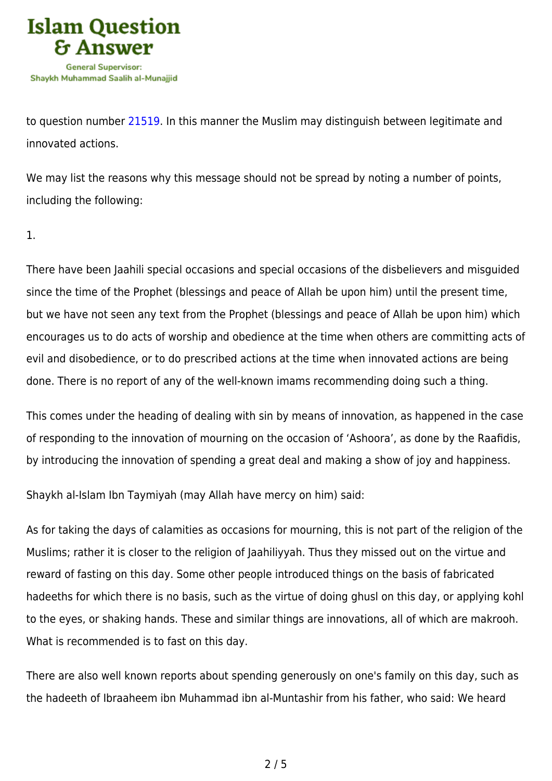

to question number [21519.](https://islamqa.info/en/answers/21519) In this manner the Muslim may distinguish between legitimate and innovated actions.

We may list the reasons why this message should not be spread by noting a number of points, including the following:

1.

There have been Jaahili special occasions and special occasions of the disbelievers and misguided since the time of the Prophet (blessings and peace of Allah be upon him) until the present time, but we have not seen any text from the Prophet (blessings and peace of Allah be upon him) which encourages us to do acts of worship and obedience at the time when others are committing acts of evil and disobedience, or to do prescribed actions at the time when innovated actions are being done. There is no report of any of the well-known imams recommending doing such a thing.

This comes under the heading of dealing with sin by means of innovation, as happened in the case of responding to the innovation of mourning on the occasion of 'Ashoora', as done by the Raafidis, by introducing the innovation of spending a great deal and making a show of joy and happiness.

Shaykh al-Islam Ibn Taymiyah (may Allah have mercy on him) said:

As for taking the days of calamities as occasions for mourning, this is not part of the religion of the Muslims; rather it is closer to the religion of Jaahiliyyah. Thus they missed out on the virtue and reward of fasting on this day. Some other people introduced things on the basis of fabricated hadeeths for which there is no basis, such as the virtue of doing ghusl on this day, or applying kohl to the eyes, or shaking hands. These and similar things are innovations, all of which are makrooh. What is recommended is to fast on this day.

There are also well known reports about spending generously on one's family on this day, such as the hadeeth of Ibraaheem ibn Muhammad ibn al-Muntashir from his father, who said: We heard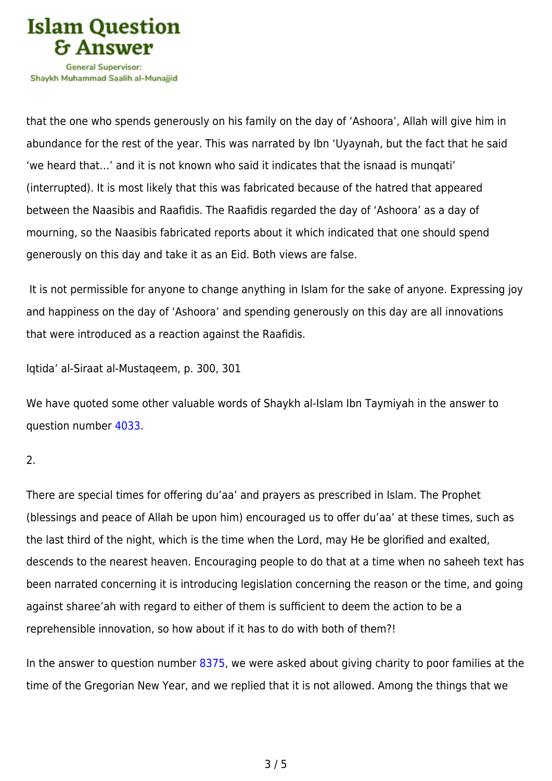

Shavkh Muhammad Saalih al-Munaiiid

that the one who spends generously on his family on the day of 'Ashoora', Allah will give him in abundance for the rest of the year. This was narrated by Ibn 'Uyaynah, but the fact that he said 'we heard that…' and it is not known who said it indicates that the isnaad is munqati' (interrupted). It is most likely that this was fabricated because of the hatred that appeared between the Naasibis and Raafidis. The Raafidis regarded the day of 'Ashoora' as a day of mourning, so the Naasibis fabricated reports about it which indicated that one should spend generously on this day and take it as an Eid. Both views are false.

 It is not permissible for anyone to change anything in Islam for the sake of anyone. Expressing joy and happiness on the day of 'Ashoora' and spending generously on this day are all innovations that were introduced as a reaction against the Raafidis.

Iqtida' al-Siraat al-Mustaqeem, p. 300, 301

We have quoted some other valuable words of Shaykh al-Islam Ibn Taymiyah in the answer to question number [4033](https://islamqa.info/en/answers/4033).

## 2.

There are special times for offering du'aa' and prayers as prescribed in Islam. The Prophet (blessings and peace of Allah be upon him) encouraged us to offer du'aa' at these times, such as the last third of the night, which is the time when the Lord, may He be glorified and exalted, descends to the nearest heaven. Encouraging people to do that at a time when no saheeh text has been narrated concerning it is introducing legislation concerning the reason or the time, and going against sharee'ah with regard to either of them is sufficient to deem the action to be a reprehensible innovation, so how about if it has to do with both of them?!

In the answer to question number [8375,](https://islamqa.info/en/answers/8375) we were asked about giving charity to poor families at the time of the Gregorian New Year, and we replied that it is not allowed. Among the things that we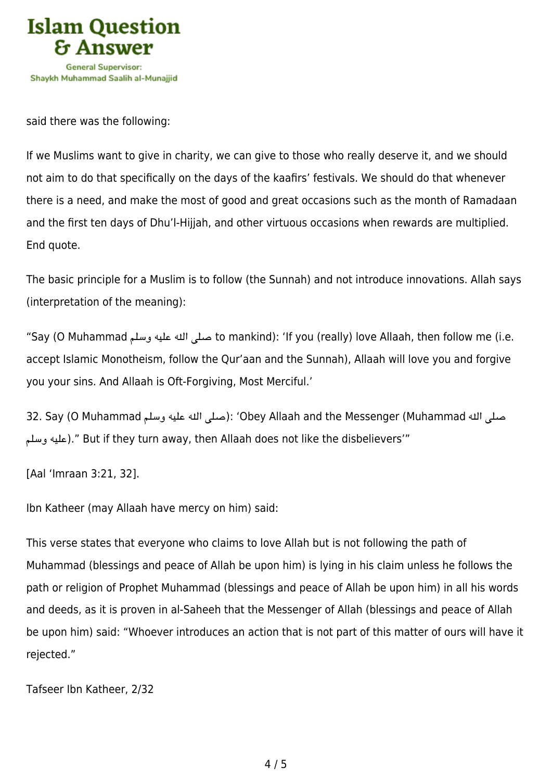

said there was the following:

If we Muslims want to give in charity, we can give to those who really deserve it, and we should not aim to do that specifically on the days of the kaafirs' festivals. We should do that whenever there is a need, and make the most of good and great occasions such as the month of Ramadaan and the first ten days of Dhu'l-Hijjah, and other virtuous occasions when rewards are multiplied. End quote.

The basic principle for a Muslim is to follow (the Sunnah) and not introduce innovations. Allah says (interpretation of the meaning):

"Say (O Muhammad صلى الله عليه وسلم to mankind): 'If you (really) love Allaah, then follow me (i.e. accept Islamic Monotheism, follow the Qur'aan and the Sunnah), Allaah will love you and forgive you your sins. And Allaah is Oft-Forgiving, Most Merciful.'

32. Say (O Muhammad ملم الله عليه وسلم عليه وسلم 32. Say (O Muhammad صلى الله عليه وسلم عليه وسلم)." But if they turn away, then Allaah does not like the disbelievers'"

[Aal 'Imraan 3:21, 32].

Ibn Katheer (may Allaah have mercy on him) said:

This verse states that everyone who claims to love Allah but is not following the path of Muhammad (blessings and peace of Allah be upon him) is lying in his claim unless he follows the path or religion of Prophet Muhammad (blessings and peace of Allah be upon him) in all his words and deeds, as it is proven in al-Saheeh that the Messenger of Allah (blessings and peace of Allah be upon him) said: "Whoever introduces an action that is not part of this matter of ours will have it rejected."

Tafseer Ibn Katheer, 2/32